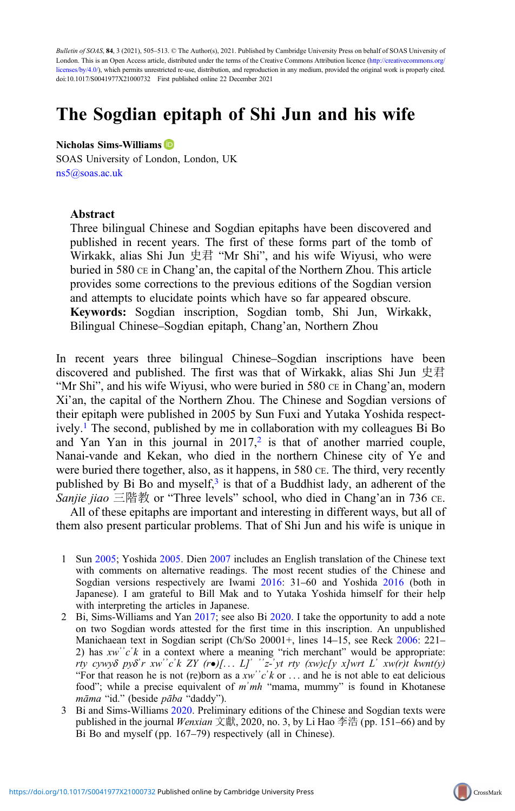Bulletin of SOAS, 84, 3 (2021), 505–513. © The Author(s), 2021. Published by Cambridge University Press on behalf of SOAS University of London. This is an Open Access article, distributed under the terms of the Creative Commons Attribution licence [\(http://creativecommons.org/](http://creativecommons.org/licenses/by/4.0/) [licenses/by/4.0/](http://creativecommons.org/licenses/by/4.0/)), which permits unrestricted re-use, distribution, and reproduction in any medium, provided the original work is properly cited. doi:10.1017/S0041977X21000732 First published online 22 December 2021

# The Sogdian epitaph of Shi Jun and his wife

#### Nicholas Sims-Williams

SOAS University of London, London, UK [ns5@soas.ac.uk](mailto:ns5@soas.ac.uk)

#### Abstract

Three bilingual Chinese and Sogdian epitaphs have been discovered and published in recent years. The first of these forms part of the tomb of Wirkakk, alias Shi Jun 史君 "Mr Shi", and his wife Wiyusi, who were buried in 580 CE in Chang'an, the capital of the Northern Zhou. This article provides some corrections to the previous editions of the Sogdian version and attempts to elucidate points which have so far appeared obscure. Keywords: Sogdian inscription, Sogdian tomb, Shi Jun, Wirkakk, Bilingual Chinese–Sogdian epitaph, Chang'an, Northern Zhou

In recent years three bilingual Chinese–Sogdian inscriptions have been discovered and published. The first was that of Wirkakk, alias Shi Jun 史君 "Mr Shi", and his wife Wiyusi, who were buried in 580 CE in Chang'an, modern Xi'an, the capital of the Northern Zhou. The Chinese and Sogdian versions of their epitaph were published in 2005 by Sun Fuxi and Yutaka Yoshida respectively.1 The second, published by me in collaboration with my colleagues Bi Bo and Yan Yan in this journal in  $2017<sub>1</sub><sup>2</sup>$  is that of another married couple, Nanai-vande and Kekan, who died in the northern Chinese city of Ye and were buried there together, also, as it happens, in 580 CE. The third, very recently published by Bi Bo and myself, $3$  is that of a Buddhist lady, an adherent of the Sanjie jiao 三階教 or "Three levels" school, who died in Chang'an in 736 CE.

All of these epitaphs are important and interesting in different ways, but all of them also present particular problems. That of Shi Jun and his wife is unique in

- 1 Sun [2005;](#page-8-0) Yoshida [2005](#page-8-0). Dien [2007](#page-7-0) includes an English translation of the Chinese text with comments on alternative readings. The most recent studies of the Chinese and Sogdian versions respectively are Iwami [2016](#page-7-0): 31–60 and Yoshida [2016](#page-8-0) (both in Japanese). I am grateful to Bill Mak and to Yutaka Yoshida himself for their help with interpreting the articles in Japanese.
- 2 Bi, Sims-Williams and Yan [2017](#page-7-0); see also Bi [2020](#page-7-0). I take the opportunity to add a note on two Sogdian words attested for the first time in this inscription. An unpublished Manichaean text in Sogdian script (Ch/So 20001+, lines 14–15, see Reck [2006:](#page-8-0) 221– 2) has  $xw'c'k$  in a context where a meaning "rich merchant" would be appropriate: rty cywyδ pyδʾr xwʾʾcʾk ZY (r•)[... L]ʾ ʾʾz-ʾyt rty (xw)c[y x]wrt Lʾ xw(r)t kwnt(y) "For that reason he is not (re)born as a  $xw'c'k$  or ... and he is not able to eat delicious food"; while a precise equivalent of  $m'mh$  "mama, mummy" is found in Khotanese māma "id." (beside pāba "daddy").
- 3 Bi and Sims-Williams [2020](#page-7-0). Preliminary editions of the Chinese and Sogdian texts were published in the journal *Wenxian* 文獻, 2020, no. 3, by Li Hao 李浩 (pp. 151–66) and by Bi Bo and myself (pp. 167–79) respectively (all in Chinese).

CrossMark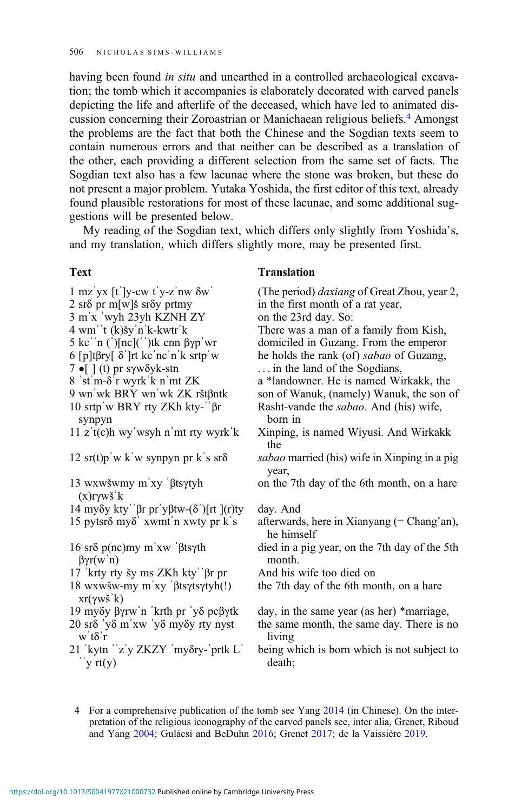having been found *in situ* and unearthed in a controlled archaeological excavation; the tomb which it accompanies is elaborately decorated with carved panels depicting the life and afterlife of the deceased, which have led to animated discussion concerning their Zoroastrian or Manichaean religious beliefs.4 Amongst the problems are the fact that both the Chinese and the Sogdian texts seem to contain numerous errors and that neither can be described as a translation of the other, each providing a different selection from the same set of facts. The Sogdian text also has a few lacunae where the stone was broken, but these do not present a major problem. Yutaka Yoshida, the first editor of this text, already found plausible restorations for most of these lacunae, and some additional suggestions will be presented below.

My reading of the Sogdian text, which differs only slightly from Yoshida's, and my translation, which differs slightly more, may be presented first.

### Text Translation

#### 1 mzʾyx [tʾ]y-cw tʾy-zʾnw δwʾ (The period) daxiang of Great Zhou, year 2, 2 sr $\delta$  pr m[w]s sr $\delta$ y prtmy in the first month of a rat year, 3 mʾx ʾwyh 23yh KZNH ZY on the 23rd day. So: 4 wmʾʾt (k)šyʾnʾk-kwtrʾk There was a man of a family from Kish, 5 kc<sup>'n</sup> ( $\int$ )[nc]( $\int$ )<sup>\*</sup>)tk cnn βγp<sup>'</sup>wr domiciled in Guzang. From the emperor 6 [p]tβry[ δʾ]rt kcʾncʾnʾk srtpʾw he holds the rank (of) sabao of Guzang, 7 **•**[ ] (t) pr sγwδyk-stn ... in the land of the Sogdians,<br>8 'st'm-δ'r wyrk'k n'mt ZK a \*landowner. He is named Wi 8 ʾstʾm-δʾr wyrkʾk nʾmt ZK a \*landowner. He is named Wirkakk, the son of Wanuk, (namely) Wanuk, the son of 10 srtpʾw BRY rty ZKh kty-ʾʾβr synpyn Rasht-vande the sabao. And (his) wife, born in 11 zʾt(c)h wyʾwsyh nʾmt rty wyrkʾk Xinping, is named Wiyusi. And Wirkakk the 12 sr(t)p'w k'w synpyn pr k's sr $\delta$  sabao married (his) wife in Xinping in a pig year, 13 wxwšwmy mʾxy ʾβtsγtyh (x)rγwšʾk on the 7th day of the 6th month, on a hare 14 myδy kty<sup>2</sup> βr pr<sup>'</sup>yβtw-(δ<sup>'</sup>)[rt ](r)ty day. And 15 pytsrδ myδʾ xwmtʾn xwty pr kʾs afterwards, here in Xianyang (= Chang'an), he himself 16 srδ p(nc)my mʾxw ʾβtsγth βγr(wʾn) died in a pig year, on the 7th day of the 5th month.<br>And his wife too died on 17 'krty rty šy ms ZKh kty'' $βr$  pr 18 wxwšw-my mʾxy ʾβtsγtsγtyh(!) xr(γwš<sup>'</sup>k)<br>19 myδy βγrw'n 'krth pr 'yδ pcβγtk the 7th day of the 6th month, on a hare day, in the same year (as her) \*marriage, 20 srδ ʾyδ mʾxw ʾyδ myδy rty nyst wʾtδʾr the same month, the same day. There is no living 21 'kytn "z'y ZKZY 'my $\delta$ ry-'prtk L'  $\gamma$  rt(y) being which is born which is not subject to death;

4 For a comprehensive publication of the tomb see Yang [2014](#page-8-0) (in Chinese). On the interpretation of the religious iconography of the carved panels see, inter alia, Grenet, Riboud and Yang [2004;](#page-7-0) Gulácsi and BeDuhn [2016](#page-7-0); Grenet [2017;](#page-7-0) de la Vaissière [2019.](#page-7-0)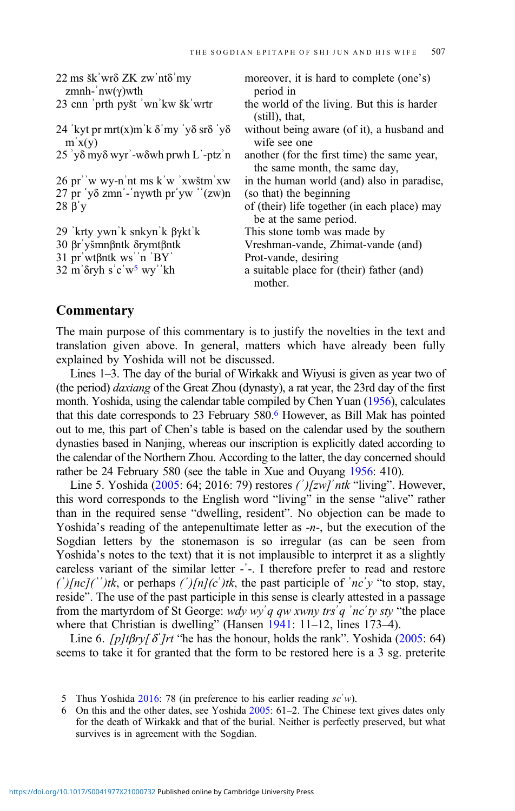| $22 \text{ ms }$ šk' wr $\delta$ ZK zw' nt $\delta$ ' my                        | moreover, it is hard to complete (one's)                                     |
|---------------------------------------------------------------------------------|------------------------------------------------------------------------------|
| zmnh-'nw( $\gamma$ )wth                                                         | period in                                                                    |
| 23 cnn prth pyšt 'wn'kw šk' wrtr                                                | the world of the living. But this is harder<br>$(still)$ , that,             |
| 24 'kyt pr mrt(x)m k $\delta$ 'my 'y $\delta$ sr $\delta$ 'y $\delta$<br>m'x(y) | without being aware (of it), a husband and<br>wife see one                   |
| $25$ 'y $\delta$ my $\delta$ wyr'-w $\delta$ wh prwh L'-ptz'n                   | another (for the first time) the same year,<br>the same month, the same day, |
| 26 pr''w wy-n'nt ms k'w 'xwštm'xw                                               | in the human world (and) also in paradise,                                   |
| $27$ pr 'yδ zmn'-'nγwth pr'yw ''(zw)n                                           | (so that) the beginning                                                      |
| $28 \beta' y$                                                                   | of (their) life together (in each place) may<br>be at the same period.       |
| 29 'krty ywn k snkyn k $\beta$ ykt k                                            | This stone tomb was made by                                                  |
| 30 βr' yšmnβntk δrymtβntk                                                       | Vreshman-vande, Zhimat-vande (and)                                           |
| $31$ pr'wt $\beta$ ntk ws''n 'BY'                                               | Prot-vande, desiring                                                         |
| $32 \text{ m'$ $\delta$ ryh s' c'w <sup>5</sup> wy'' kh                         | a suitable place for (their) father (and)<br>mother.                         |

## **Commentary**

The main purpose of this commentary is to justify the novelties in the text and translation given above. In general, matters which have already been fully explained by Yoshida will not be discussed.

Lines 1–3. The day of the burial of Wirkakk and Wiyusi is given as year two of (the period) daxiang of the Great Zhou (dynasty), a rat year, the 23rd day of the first month. Yoshida, using the calendar table compiled by Chen Yuan ([1956\)](#page-7-0), calculates that this date corresponds to 23 February 580.6 However, as Bill Mak has pointed out to me, this part of Chen's table is based on the calendar used by the southern dynasties based in Nanjing, whereas our inscription is explicitly dated according to the calendar of the Northern Zhou. According to the latter, the day concerned should rather be 24 February 580 (see the table in Xue and Ouyang [1956](#page-8-0): 410).

Line 5. Yoshida  $(2005: 64; 2016: 79)$  $(2005: 64; 2016: 79)$  restores  $(\cdot')$ [zw]  $'$ ntk "living". However, this word corresponds to the English word "living" in the sense "alive" rather than in the required sense "dwelling, resident". No objection can be made to Yoshida's reading of the antepenultimate letter as  $-n-$ , but the execution of the Sogdian letters by the stonemason is so irregular (as can be seen from Yoshida's notes to the text) that it is not implausible to interpret it as a slightly careless variant of the similar letter -ʾ-. I therefore prefer to read and restore  $(\n\hat{i})[nc](\n\hat{i})$ tk, or perhaps  $(\n\hat{i})[n](\n\hat{i})$ tk, the past participle of  $\hat{i}nc\hat{j}y$  "to stop, stay, reside". The use of the past participle in this sense is clearly attested in a passage from the martyrdom of St George: wdy wy'q qw xwny trs'q 'nc'ty sty "the place where that Christian is dwelling" (Hansen [1941:](#page-7-0) 11-12, lines 173-4).

Line 6. [p]t $\beta r y/\delta'$ ]rt "he has the honour, holds the rank". Yoshida [\(2005](#page-8-0): 64) seems to take it for granted that the form to be restored here is a 3 sg. preterite

<sup>5</sup> Thus Yoshida [2016:](#page-8-0) 78 (in preference to his earlier reading  $sc'w$ ).

<sup>6</sup> On this and the other dates, see Yoshida [2005](#page-8-0): 61–2. The Chinese text gives dates only for the death of Wirkakk and that of the burial. Neither is perfectly preserved, but what survives is in agreement with the Sogdian.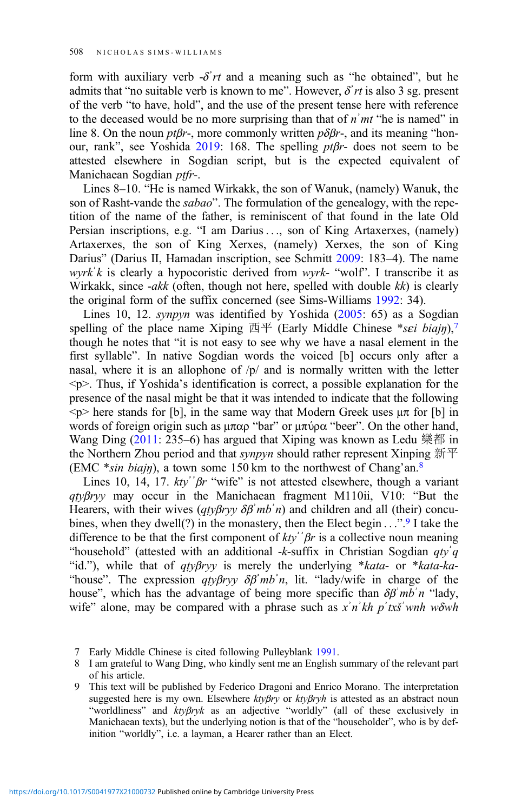form with auxiliary verb  $-\delta' r t$  and a meaning such as "he obtained", but he admits that "no suitable verb is known to me". However,  $\delta'$ rt is also 3 sg. present of the verb "to have, hold", and the use of the present tense here with reference to the deceased would be no more surprising than that of  $n<sup>'</sup>mt''$  he is named" in line 8. On the noun *ptβr*-, more commonly written  $p\delta\beta r$ -, and its meaning "honour, rank", see Yoshida [2019](#page-8-0): 168. The spelling ptβr- does not seem to be attested elsewhere in Sogdian script, but is the expected equivalent of Manichaean Sogdian *ptfr-*.

Lines 8–10. "He is named Wirkakk, the son of Wanuk, (namely) Wanuk, the son of Rasht-vande the sabao". The formulation of the genealogy, with the repetition of the name of the father, is reminiscent of that found in the late Old Persian inscriptions, e.g. "I am Darius ..., son of King Artaxerxes, (namely) Artaxerxes, the son of King Xerxes, (namely) Xerxes, the son of King Darius" (Darius II, Hamadan inscription, see Schmitt [2009:](#page-8-0) 183–4). The name wyrk'k is clearly a hypocoristic derived from wyrk- "wolf". I transcribe it as Wirkakk, since -akk (often, though not here, spelled with double  $kk$ ) is clearly the original form of the suffix concerned (see Sims-Williams [1992](#page-8-0): 34).

Lines 10, 12. *synpyn* was identified by Yoshida ([2005:](#page-8-0) 65) as a Sogdian spelling of the place name Xiping  $\overline{p}$  (Early Middle Chinese \*sei biajn),<sup>7</sup> though he notes that "it is not easy to see why we have a nasal element in the first syllable". In native Sogdian words the voiced [b] occurs only after a nasal, where it is an allophone of  $/p/$  and is normally written with the letter  $\langle p \rangle$ . Thus, if Yoshida's identification is correct, a possible explanation for the presence of the nasal might be that it was intended to indicate that the following  $\langle p \rangle$  here stands for [b], in the same way that Modern Greek uses  $\mu \pi$  for [b] in words of foreign origin such as μπαρ "bar" or μπύρα "beer". On the other hand, Wang Ding  $(2011: 235-6)$  $(2011: 235-6)$  has argued that Xiping was known as Ledu 樂都 in the Northern Zhou period and that *synpyn* should rather represent Xinping  $\#$ <sup> $\mp$ </sup> (EMC \*sin biajn), a town some 150 km to the northwest of Chang'an.<sup>8</sup>

Lines 10, 14, 17.  $kty''$  $\beta r$  "wife" is not attested elsewhere, though a variant  $qtyBryy$  may occur in the Manichaean fragment M110ii, V10: "But the Hearers, with their wives  $(qty\beta ryy \delta\beta' mb'n)$  and children and all (their) concubines, when they dwell(?) in the monastery, then the Elect begin . . .".<sup>9</sup> I take the difference to be that the first component of  $kty'$ <sup>3</sup> $\beta$ r is a collective noun meaning "household" (attested with an additional -k-suffix in Christian Sogdian  $qty'q$ "id."), while that of  $qtyBryy$  is merely the underlying \*kata- or \*kata-ka-"house". The expression  $qty\beta ryy \delta\beta' mb'n$ , lit. "lady/wife in charge of the house", which has the advantage of being more specific than  $\delta \beta' m b' n$  "lady, wife" alone, may be compared with a phrase such as  $x^n$  *n*'kh p'txš' wnh w $\delta$ wh

<sup>7</sup> Early Middle Chinese is cited following Pulleyblank [1991](#page-7-0).

<sup>8</sup> I am grateful to Wang Ding, who kindly sent me an English summary of the relevant part of his article.

<sup>9</sup> This text will be published by Federico Dragoni and Enrico Morano. The interpretation suggested here is my own. Elsewhere  $kty\beta ry$  or  $kty\beta ryh$  is attested as an abstract noun "worldliness" and ktyβryk as an adjective "worldly" (all of these exclusively in Manichaean texts), but the underlying notion is that of the "householder", who is by definition "worldly", i.e. a layman, a Hearer rather than an Elect.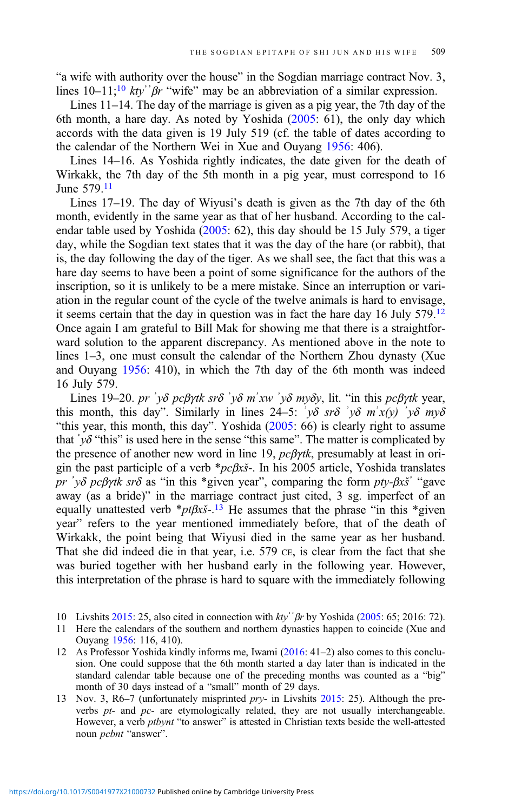"a wife with authority over the house" in the Sogdian marriage contract Nov. 3, lines  $10-11$ ;<sup>10</sup> kty<sup>2</sup>  $\beta r$  "wife" may be an abbreviation of a similar expression.

Lines 11–14. The day of the marriage is given as a pig year, the 7th day of the 6th month, a hare day. As noted by Yoshida [\(2005](#page-8-0): 61), the only day which accords with the data given is 19 July 519 (cf. the table of dates according to the calendar of the Northern Wei in Xue and Ouyang [1956](#page-8-0): 406).

Lines 14–16. As Yoshida rightly indicates, the date given for the death of Wirkakk, the 7th day of the 5th month in a pig year, must correspond to 16 June 579.11

Lines 17–19. The day of Wiyusi's death is given as the 7th day of the 6th month, evidently in the same year as that of her husband. According to the calendar table used by Yoshida [\(2005](#page-8-0): 62), this day should be 15 July 579, a tiger day, while the Sogdian text states that it was the day of the hare (or rabbit), that is, the day following the day of the tiger. As we shall see, the fact that this was a hare day seems to have been a point of some significance for the authors of the inscription, so it is unlikely to be a mere mistake. Since an interruption or variation in the regular count of the cycle of the twelve animals is hard to envisage, it seems certain that the day in question was in fact the hare day 16 July 579.12 Once again I am grateful to Bill Mak for showing me that there is a straightforward solution to the apparent discrepancy. As mentioned above in the note to lines 1–3, one must consult the calendar of the Northern Zhou dynasty (Xue and Ouyang [1956:](#page-8-0) 410), in which the 7th day of the 6th month was indeed 16 July 579.

Lines 19–20. pr 'yδ pc $\beta$ γtk srδ 'yδ m'xw 'yδ myδy, lit. "in this pc $\beta$ γtk year, this month, this day". Similarly in lines 24–5:  $\gamma \delta$  sr $\delta' \gamma \delta$  m'x(y)  $\gamma \delta$  my $\delta$ "this year, this month, this day". Yoshida [\(2005](#page-8-0): 66) is clearly right to assume that  $y\delta$  "this" is used here in the sense "this same". The matter is complicated by the presence of another new word in line 19,  $pc\beta\gamma$ tk, presumably at least in origin the past participle of a verb \*pcβxš-. In his 2005 article, Yoshida translates pr 'yδ pcβγtk srδ as "in this \*given year", comparing the form pty-βxš' "gave away (as a bride)" in the marriage contract just cited, 3 sg. imperfect of an equally unattested verb  $*pt\beta x\zeta$ -.<sup>13</sup> He assumes that the phrase "in this  $*given$ year" refers to the year mentioned immediately before, that of the death of Wirkakk, the point being that Wiyusi died in the same year as her husband. That she did indeed die in that year, i.e. 579 CE, is clear from the fact that she was buried together with her husband early in the following year. However, this interpretation of the phrase is hard to square with the immediately following

- 10 Livshits [2015](#page-7-0): 25, also cited in connection with *kty*<sup>2</sup> βr by Yoshida [\(2005](#page-8-0): 65; 2016: 72).
- 11 Here the calendars of the southern and northern dynasties happen to coincide (Xue and Ouyang [1956](#page-8-0): 116, 410).

12 As Professor Yoshida kindly informs me, Iwami ([2016:](#page-7-0) 41–2) also comes to this conclusion. One could suppose that the 6th month started a day later than is indicated in the standard calendar table because one of the preceding months was counted as a "big" month of 30 days instead of a "small" month of 29 days.

13 Nov. 3, R6–7 (unfortunately misprinted *pry*- in Livshits [2015:](#page-7-0) 25). Although the preverbs  $pt$ - and  $pc$ - are etymologically related, they are not usually interchangeable. However, a verb ptbynt "to answer" is attested in Christian texts beside the well-attested noun pcbnt "answer".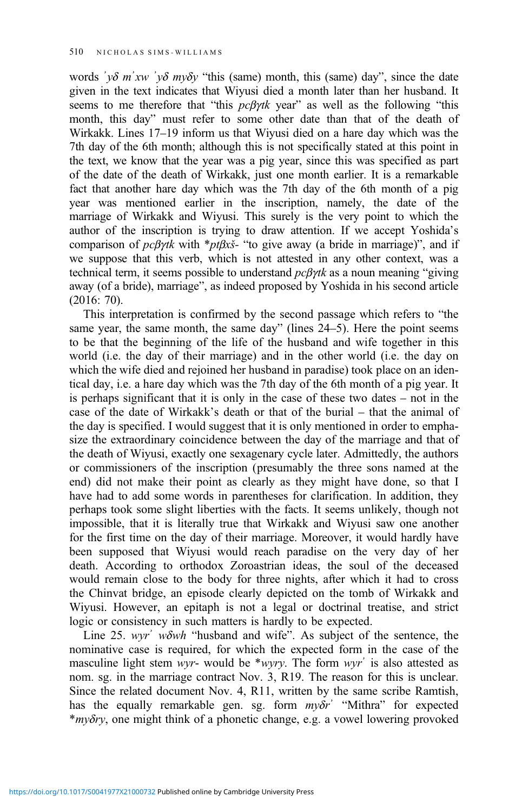words ' $v\delta$  m'xw ' $v\delta$  m $v\delta y$  "this (same) month, this (same) day", since the date given in the text indicates that Wiyusi died a month later than her husband. It seems to me therefore that "this  $pc\beta\gamma$ tk year" as well as the following "this month, this day" must refer to some other date than that of the death of Wirkakk. Lines 17–19 inform us that Wiyusi died on a hare day which was the 7th day of the 6th month; although this is not specifically stated at this point in the text, we know that the year was a pig year, since this was specified as part of the date of the death of Wirkakk, just one month earlier. It is a remarkable fact that another hare day which was the 7th day of the 6th month of a pig year was mentioned earlier in the inscription, namely, the date of the marriage of Wirkakk and Wiyusi. This surely is the very point to which the author of the inscription is trying to draw attention. If we accept Yoshida's comparison of  $pc\beta$ γtk with \*ptβxš- "to give away (a bride in marriage)", and if we suppose that this verb, which is not attested in any other context, was a technical term, it seems possible to understand  $\frac{pc}{\beta\gamma t}$  as a noun meaning "giving away (of a bride), marriage", as indeed proposed by Yoshida in his second article (2016: 70).

This interpretation is confirmed by the second passage which refers to "the same year, the same month, the same day" (lines 24–5). Here the point seems to be that the beginning of the life of the husband and wife together in this world (i.e. the day of their marriage) and in the other world (i.e. the day on which the wife died and rejoined her husband in paradise) took place on an identical day, i.e. a hare day which was the 7th day of the 6th month of a pig year. It is perhaps significant that it is only in the case of these two dates – not in the case of the date of Wirkakk's death or that of the burial – that the animal of the day is specified. I would suggest that it is only mentioned in order to emphasize the extraordinary coincidence between the day of the marriage and that of the death of Wiyusi, exactly one sexagenary cycle later. Admittedly, the authors or commissioners of the inscription (presumably the three sons named at the end) did not make their point as clearly as they might have done, so that I have had to add some words in parentheses for clarification. In addition, they perhaps took some slight liberties with the facts. It seems unlikely, though not impossible, that it is literally true that Wirkakk and Wiyusi saw one another for the first time on the day of their marriage. Moreover, it would hardly have been supposed that Wiyusi would reach paradise on the very day of her death. According to orthodox Zoroastrian ideas, the soul of the deceased would remain close to the body for three nights, after which it had to cross the Chinvat bridge, an episode clearly depicted on the tomb of Wirkakk and Wiyusi. However, an epitaph is not a legal or doctrinal treatise, and strict logic or consistency in such matters is hardly to be expected.

Line 25. wyr' wowh "husband and wife". As subject of the sentence, the nominative case is required, for which the expected form in the case of the masculine light stem wyr- would be \*wyry. The form wyr<sup> $\cdot$ </sup> is also attested as nom. sg. in the marriage contract Nov. 3, R19. The reason for this is unclear. Since the related document Nov. 4, R11, written by the same scribe Ramtish, has the equally remarkable gen. sg. form  $m\gamma\delta r^2$  "Mithra" for expected \*myδry, one might think of a phonetic change, e.g. a vowel lowering provoked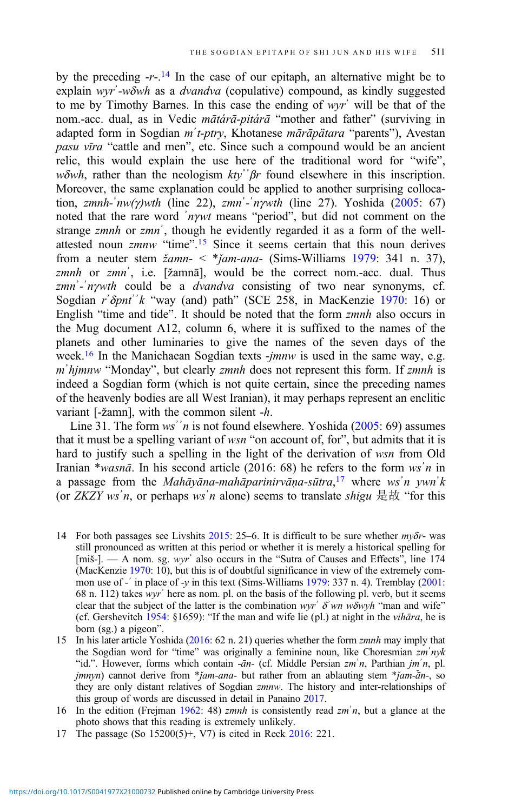by the preceding  $-r-14$  In the case of our epitaph, an alternative might be to explain wyr'-wδwh as a dvandva (copulative) compound, as kindly suggested to me by Timothy Barnes. In this case the ending of wyrʾ will be that of the nom.-acc. dual, as in Vedic mātárā-pitárā "mother and father" (surviving in adapted form in Sogdian mʾt-ptry, Khotanese mārāpätara "parents"), Avestan pasu vīra "cattle and men", etc. Since such a compound would be an ancient relic, this would explain the use here of the traditional word for "wife", wδwh, rather than the neologism  $ktv^{\prime\prime}$  *βr* found elsewhere in this inscription. Moreover, the same explanation could be applied to another surprising collocation, zmnh- $inv(\gamma)$ wth (line 22), zmn<sup>2</sup>- $'nywth$  (line 27). Yoshida [\(2005](#page-8-0): 67) noted that the rare word ʾnγwt means "period", but did not comment on the strange zmnh or zmn<sup>'</sup>, though he evidently regarded it as a form of the wellattested noun zmnw "time".<sup>15</sup> Since it seems certain that this noun derives from a neuter stem  $\zeta$   $\zeta$   $\zeta$   $\zeta$   $\zeta$   $\zeta$   $\zeta$   $\zeta$   $\zeta$   $\zeta$   $\zeta$   $\zeta$   $\zeta$   $\zeta$   $\zeta$   $\zeta$   $\zeta$   $\zeta$   $\zeta$   $\zeta$   $\zeta$   $\zeta$   $\zeta$   $\zeta$   $\zeta$   $\zeta$   $\zeta$   $\zeta$   $\zeta$   $\zeta$   $\zeta$   $\zeta$   $\zeta$   $\zeta$ zmnh or zmn<sup>2</sup>, i.e. [žamnā], would be the correct nom.-acc. dual. Thus zmn'-'nywth could be a dvandva consisting of two near synonyms, cf. Sogdian r' $\delta$ pnt''k "way (and) path" (SCE 258, in MacKenzie [1970](#page-7-0): 16) or English "time and tide". It should be noted that the form zmnh also occurs in the Mug document A12, column 6, where it is suffixed to the names of the planets and other luminaries to give the names of the seven days of the week.<sup>16</sup> In the Manichaean Sogdian texts -jmnw is used in the same way, e.g. m'hjmnw "Monday", but clearly zmnh does not represent this form. If zmnh is indeed a Sogdian form (which is not quite certain, since the preceding names of the heavenly bodies are all West Iranian), it may perhaps represent an enclitic variant [-žamn], with the common silent -h.

Line 31. The form  $ws''n$  is not found elsewhere. Yoshida  $(2005: 69)$  $(2005: 69)$  $(2005: 69)$  assumes that it must be a spelling variant of  $wsn$  "on account of, for", but admits that it is hard to justify such a spelling in the light of the derivation of wsn from Old Iranian \*wasnā. In his second article (2016: 68) he refers to the form wsʾn in a passage from the *Mahāyāna-mahāparinirvāṇa-sūtra*,<sup>17</sup> where ws'n ywn'k (or *ZKZY ws'n*, or perhaps *ws'n* alone) seems to translate *shigu* 是故 "for this

- 14 For both passages see Livshits  $2015$ : 25–6. It is difficult to be sure whether  $m\gamma\delta r$  was still pronounced as written at this period or whether it is merely a historical spelling for [miš-]. — A nom. sg. wyr<sup>'</sup> also occurs in the "Sutra of Causes and Effects", line 174 (MacKenzie [1970](#page-7-0): 10), but this is of doubtful significance in view of the extremely common use of -  $\cdot$  in place of -y in this text (Sims-Williams [1979](#page-8-0): 337 n. 4). Tremblay [\(2001](#page-8-0): 68 n. 112) takes wyrʾ here as nom. pl. on the basis of the following pl. verb, but it seems clear that the subject of the latter is the combination wyr<sup>'</sup>  $\delta$ 'wn w $\delta$ wyh "man and wife" (cf. Gershevitch  $1954$ : §1659): "If the man and wife lie (pl.) at night in the *vihāra*, he is born (sg.) a pigeon".
- 15 In his later article Yoshida ([2016](#page-8-0): 62 n. 21) queries whether the form zmnh may imply that the Sogdian word for "time" was originally a feminine noun, like Choresmian zm'nyk "id.". However, forms which contain -ān- (cf. Middle Persian zm'n, Parthian jm'n, pl.  $jmnyn$ ) cannot derive from \* $jam-ana$ - but rather from an ablauting stem \* $jam-ān$ -, so they are only distant relatives of Sogdian zmnw. The history and inter-relationships of this group of words are discussed in detail in Panaino [2017.](#page-7-0)
- 16 In the edition (Freiman [1962](#page-7-0): 48) *zmnh* is consistently read *zm*<sup>'</sup>n, but a glance at the photo shows that this reading is extremely unlikely.
- 17 The passage (So 15200(5)+, V7) is cited in Reck [2016](#page-8-0): 221.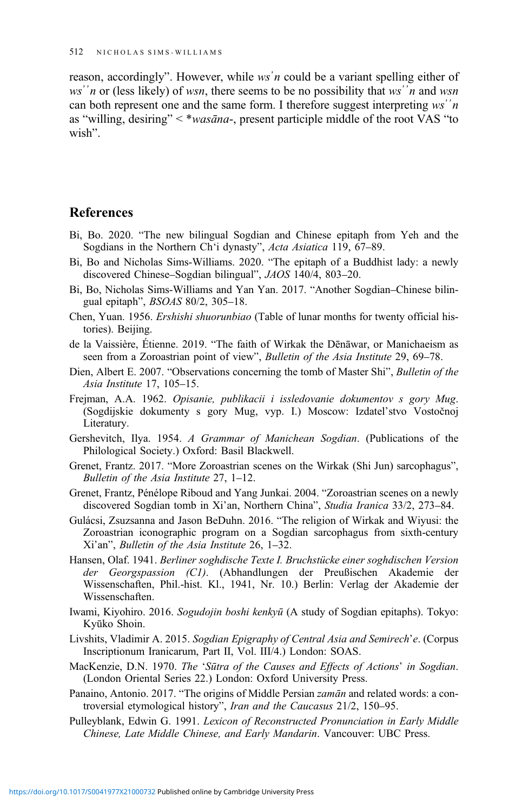<span id="page-7-0"></span>reason, accordingly". However, while ws'n could be a variant spelling either of ws<sup>2</sup> $n$  or (less likely) of wsn, there seems to be no possibility that ws<sup>2</sup> $n$  and wsn can both represent one and the same form. I therefore suggest interpreting  $ws'{}'n$ as "willing, desiring" < \*wasāna-, present participle middle of the root VAS "to wish".

# References

- Bi, Bo. 2020. "The new bilingual Sogdian and Chinese epitaph from Yeh and the Sogdians in the Northern Ch'i dynasty", Acta Asiatica 119, 67–89.
- Bi, Bo and Nicholas Sims-Williams. 2020. "The epitaph of a Buddhist lady: a newly discovered Chinese–Sogdian bilingual", JAOS 140/4, 803–20.
- Bi, Bo, Nicholas Sims-Williams and Yan Yan. 2017. "Another Sogdian–Chinese bilingual epitaph", BSOAS 80/2, 305–18.
- Chen, Yuan. 1956. Ershishi shuorunbiao (Table of lunar months for twenty official histories). Beijing.
- de la Vaissière, Étienne. 2019. "The faith of Wirkak the Dēnāwar, or Manichaeism as seen from a Zoroastrian point of view", Bulletin of the Asia Institute 29, 69-78.
- Dien, Albert E. 2007. "Observations concerning the tomb of Master Shi", *Bulletin of the* Asia Institute 17, 105–15.
- Frejman, A.A. 1962. Opisanie, publikacii i issledovanie dokumentov s gory Mug. (Sogdijskie dokumenty s gory Mug, vyp. I.) Moscow: Izdatel'stvo Vostočnoj Literatury.
- Gershevitch, Ilya. 1954. A Grammar of Manichean Sogdian. (Publications of the Philological Society.) Oxford: Basil Blackwell.
- Grenet, Frantz. 2017. "More Zoroastrian scenes on the Wirkak (Shi Jun) sarcophagus", Bulletin of the Asia Institute 27, 1–12.
- Grenet, Frantz, Pénélope Riboud and Yang Junkai. 2004. "Zoroastrian scenes on a newly discovered Sogdian tomb in Xi'an, Northern China", Studia Iranica 33/2, 273–84.
- Gulácsi, Zsuzsanna and Jason BeDuhn. 2016. "The religion of Wirkak and Wiyusi: the Zoroastrian iconographic program on a Sogdian sarcophagus from sixth-century Xi'an", Bulletin of the Asia Institute 26, 1–32.
- Hansen, Olaf. 1941. Berliner soghdische Texte I. Bruchstücke einer soghdischen Version der Georgspassion (C1). (Abhandlungen der Preußischen Akademie der Wissenschaften, Phil.-hist. Kl., 1941, Nr. 10.) Berlin: Verlag der Akademie der Wissenschaften.
- Iwami, Kiyohiro. 2016. Sogudojin boshi kenkyū (A study of Sogdian epitaphs). Tokyo: Kyūko Shoin.
- Livshits, Vladimir A. 2015. Sogdian Epigraphy of Central Asia and Semirech'e. (Corpus Inscriptionum Iranicarum, Part II, Vol. III/4.) London: SOAS.
- MacKenzie, D.N. 1970. The 'Sūtra of the Causes and Effects of Actions' in Sogdian. (London Oriental Series 22.) London: Oxford University Press.
- Panaino, Antonio. 2017. "The origins of Middle Persian *zamān* and related words: a controversial etymological history", Iran and the Caucasus 21/2, 150–95.
- Pulleyblank, Edwin G. 1991. Lexicon of Reconstructed Pronunciation in Early Middle Chinese, Late Middle Chinese, and Early Mandarin. Vancouver: UBC Press.